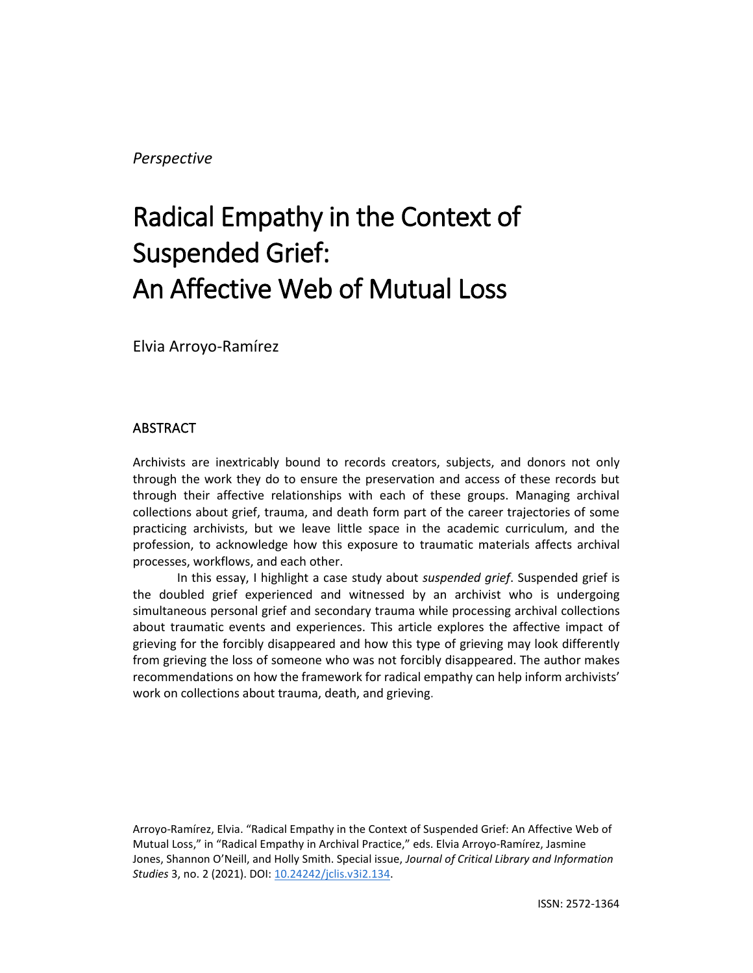## *Perspective*

# Radical Empathy in the Context of Suspended Grief: An Affective Web of Mutual Loss

Elvia Arroyo-Ramírez

### ABSTRACT

Archivists are inextricably bound to records creators, subjects, and donors not only through the work they do to ensure the preservation and access of these records but through their affective relationships with each of these groups. Managing archival collections about grief, trauma, and death form part of the career trajectories of some practicing archivists, but we leave little space in the academic curriculum, and the profession, to acknowledge how this exposure to traumatic materials affects archival processes, workflows, and each other.

In this essay, I highlight a case study about *suspended grief*. Suspended grief is the doubled grief experienced and witnessed by an archivist who is undergoing simultaneous personal grief and secondary trauma while processing archival collections about traumatic events and experiences. This article explores the affective impact of grieving for the forcibly disappeared and how this type of grieving may look differently from grieving the loss of someone who was not forcibly disappeared. The author makes recommendations on how the framework for radical empathy can help inform archivists' work on collections about trauma, death, and grieving.

Arroyo-Ramírez, Elvia. "Radical Empathy in the Context of Suspended Grief: An Affective Web of Mutual Loss," in "Radical Empathy in Archival Practice," eds. Elvia Arroyo-Ramírez, Jasmine Jones, Shannon O'Neill, and Holly Smith. Special issue, *Journal of Critical Library and Information Studies* 3, no. 2 (2021). DOI: [10.24242/jclis.v3i2.134.](https://doi.org/10.24242/jclis.v3i2.134)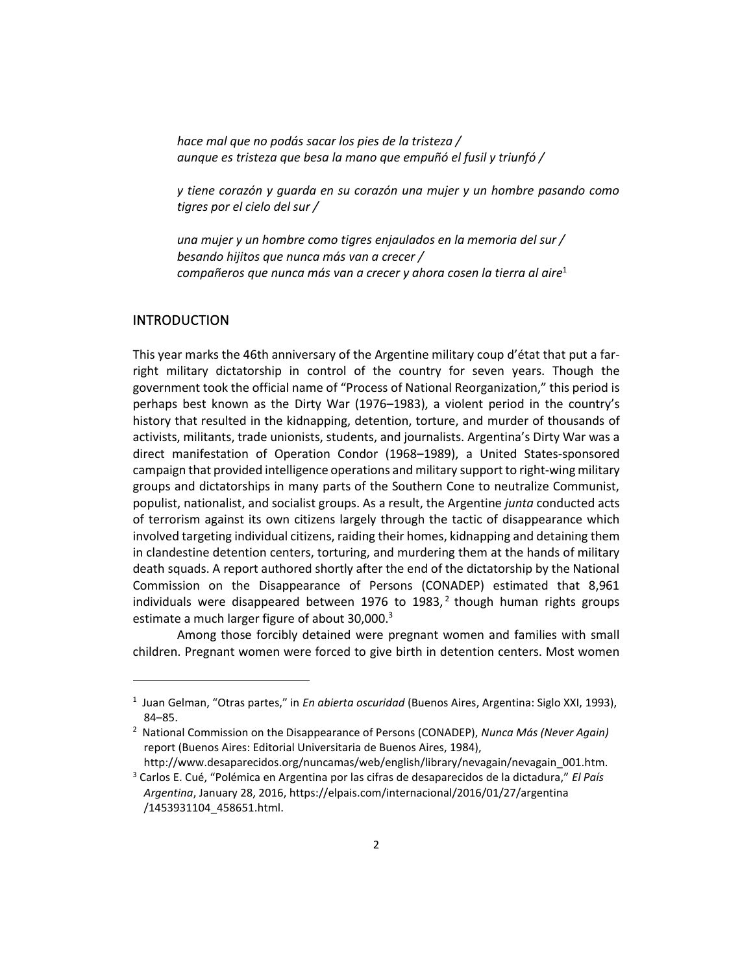*hace mal que no podás sacar los pies de la tristeza / aunque es tristeza que besa la mano que empuñó el fusil y triunfó /*

*y tiene corazón y guarda en su corazón una mujer y un hombre pasando como tigres por el cielo del sur /*

*una mujer y un hombre como tigres enjaulados en la memoria del sur / besando hijitos que nunca más van a crecer / compañeros que nunca más van a crecer y ahora cosen la tierra al aire*<sup>1</sup>

#### **INTRODUCTION**

This year marks the 46th anniversary of the Argentine military coup d'état that put a farright military dictatorship in control of the country for seven years. Though the government took the official name of "Process of National Reorganization," this period is perhaps best known as the Dirty War (1976–1983), a violent period in the country's history that resulted in the kidnapping, detention, torture, and murder of thousands of activists, militants, trade unionists, students, and journalists. Argentina's Dirty War was a direct manifestation of Operation Condor (1968–1989), a United States-sponsored campaign that provided intelligence operations and military support to right-wing military groups and dictatorships in many parts of the Southern Cone to neutralize Communist, populist, nationalist, and socialist groups. As a result, the Argentine *junta* conducted acts of terrorism against its own citizens largely through the tactic of disappearance which involved targeting individual citizens, raiding their homes, kidnapping and detaining them in clandestine detention centers, torturing, and murdering them at the hands of military death squads. A report authored shortly after the end of the dictatorship by the National Commission on the Disappearance of Persons (CONADEP) estimated that 8,961 individuals were disappeared between 1976 to 1983,<sup>2</sup> though human rights groups estimate a much larger figure of about 30,000.<sup>3</sup>

Among those forcibly detained were pregnant women and families with small children. Pregnant women were forced to give birth in detention centers. Most women

<sup>1</sup> Juan Gelman, "Otras partes," in *En abierta oscuridad* (Buenos Aires, Argentina: Siglo XXI, 1993), 84–85.

<sup>2</sup> National Commission on the Disappearance of Persons (CONADEP), *Nunca Más (Never Again)* report (Buenos Aires: Editorial Universitaria de Buenos Aires, 1984), http://www.desaparecidos.org/nuncamas/web/english/library/nevagain/nevagain\_001.htm.

<sup>3</sup> Carlos E. Cué, "Polémica en Argentina por las cifras de desaparecidos de la dictadura," *El País Argentina*, January 28, 2016, https://elpais.com/internacional/2016/01/27/argentina /1453931104\_458651.html.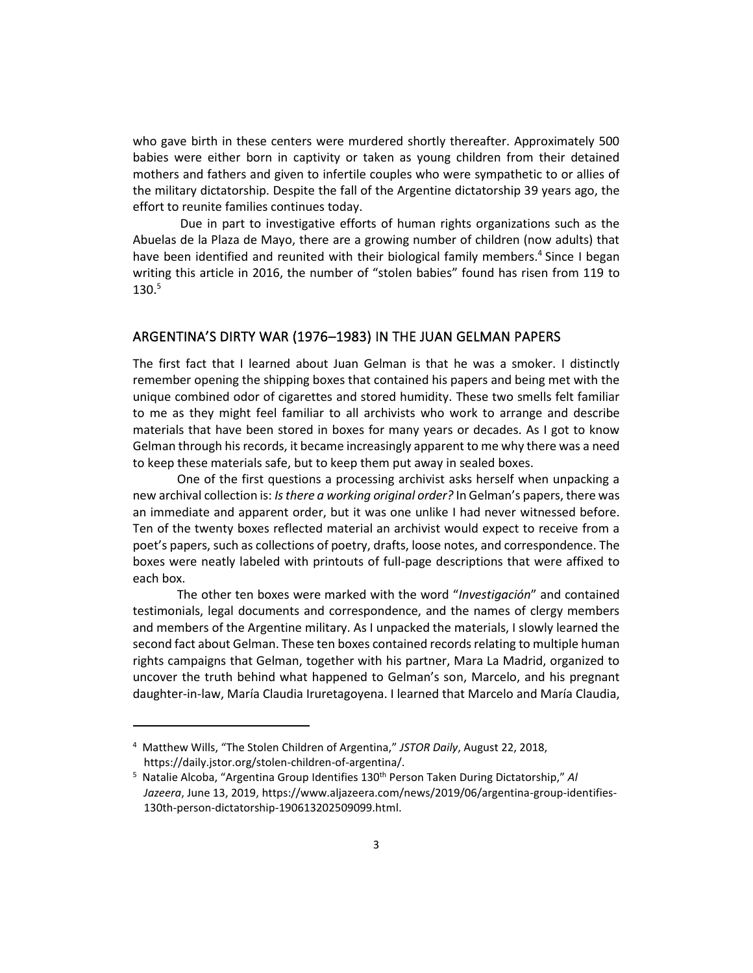who gave birth in these centers were murdered shortly thereafter. Approximately 500 babies were either born in captivity or taken as young children from their detained mothers and fathers and given to infertile couples who were sympathetic to or allies of the military dictatorship. Despite the fall of the Argentine dictatorship 39 years ago, the effort to reunite families continues today.

Due in part to investigative efforts of human rights organizations such as the Abuelas de la Plaza de Mayo, there are a growing number of children (now adults) that have been identified and reunited with their biological family members.<sup>4</sup> Since I began writing this article in 2016, the number of "stolen babies" found has risen from 119 to 130. 5

#### ARGENTINA'S DIRTY WAR (1976–1983) IN THE JUAN GELMAN PAPERS

The first fact that I learned about Juan Gelman is that he was a smoker. I distinctly remember opening the shipping boxes that contained his papers and being met with the unique combined odor of cigarettes and stored humidity. These two smells felt familiar to me as they might feel familiar to all archivists who work to arrange and describe materials that have been stored in boxes for many years or decades. As I got to know Gelman through his records, it became increasingly apparent to me why there was a need to keep these materials safe, but to keep them put away in sealed boxes.

One of the first questions a processing archivist asks herself when unpacking a new archival collection is: *Is there a working original order?* In Gelman's papers, there was an immediate and apparent order, but it was one unlike I had never witnessed before. Ten of the twenty boxes reflected material an archivist would expect to receive from a poet's papers, such as collections of poetry, drafts, loose notes, and correspondence. The boxes were neatly labeled with printouts of full-page descriptions that were affixed to each box.

The other ten boxes were marked with the word "*Investigación*" and contained testimonials, legal documents and correspondence, and the names of clergy members and members of the Argentine military. As I unpacked the materials, I slowly learned the second fact about Gelman. These ten boxes contained records relating to multiple human rights campaigns that Gelman, together with his partner, Mara La Madrid, organized to uncover the truth behind what happened to Gelman's son, Marcelo, and his pregnant daughter-in-law, María Claudia Iruretagoyena. I learned that Marcelo and María Claudia,

<sup>4</sup> Matthew Wills, "The Stolen Children of Argentina," *JSTOR Daily*, August 22, 2018, https://daily.jstor.org/stolen-children-of-argentina/.

<sup>5</sup> Natalie Alcoba, "Argentina Group Identifies 130th Person Taken During Dictatorship," *Al Jazeera*, June 13, 2019, https://www.aljazeera.com/news/2019/06/argentina-group-identifies-130th-person-dictatorship-190613202509099.html.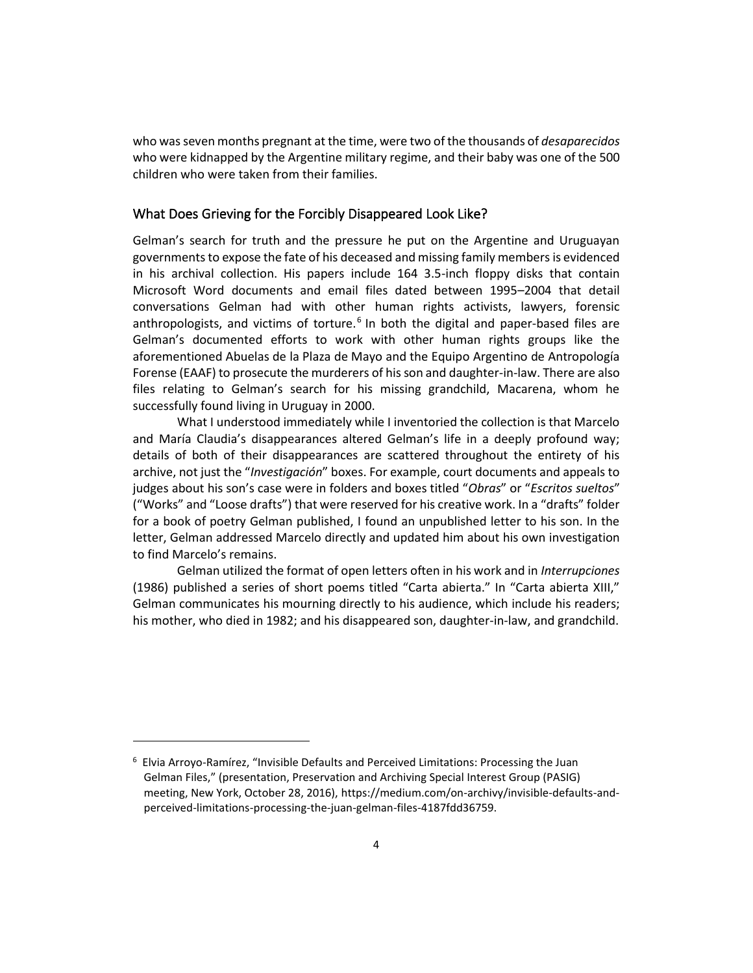who was seven months pregnant at the time, were two of the thousands of *desaparecidos* who were kidnapped by the Argentine military regime, and their baby was one of the 500 children who were taken from their families.

#### What Does Grieving for the Forcibly Disappeared Look Like?

Gelman's search for truth and the pressure he put on the Argentine and Uruguayan governments to expose the fate of his deceased and missing family members is evidenced in his archival collection. His papers include 164 3.5-inch floppy disks that contain Microsoft Word documents and email files dated between 1995–2004 that detail conversations Gelman had with other human rights activists, lawyers, forensic anthropologists, and victims of torture.<sup>6</sup> In both the digital and paper-based files are Gelman's documented efforts to work with other human rights groups like the aforementioned Abuelas de la Plaza de Mayo and the Equipo Argentino de Antropología Forense (EAAF) to prosecute the murderers of his son and daughter-in-law. There are also files relating to Gelman's search for his missing grandchild, Macarena, whom he successfully found living in Uruguay in 2000.

What I understood immediately while I inventoried the collection is that Marcelo and María Claudia's disappearances altered Gelman's life in a deeply profound way; details of both of their disappearances are scattered throughout the entirety of his archive, not just the "*Investigación*" boxes. For example, court documents and appeals to judges about his son's case were in folders and boxes titled "*Obras*" or "*Escritos sueltos*" ("Works" and "Loose drafts") that were reserved for his creative work. In a "drafts" folder for a book of poetry Gelman published, I found an unpublished letter to his son. In the letter, Gelman addressed Marcelo directly and updated him about his own investigation to find Marcelo's remains.

Gelman utilized the format of open letters often in his work and in *Interrupciones* (1986) published a series of short poems titled "Carta abierta." In "Carta abierta XIII," Gelman communicates his mourning directly to his audience, which include his readers; his mother, who died in 1982; and his disappeared son, daughter-in-law, and grandchild.

 $6$  Elvia Arroyo-Ramírez, "Invisible Defaults and Perceived Limitations: Processing the Juan Gelman Files," (presentation, Preservation and Archiving Special Interest Group (PASIG) meeting, New York, October 28, 2016), https://medium.com/on-archivy/invisible-defaults-andperceived-limitations-processing-the-juan-gelman-files-4187fdd36759.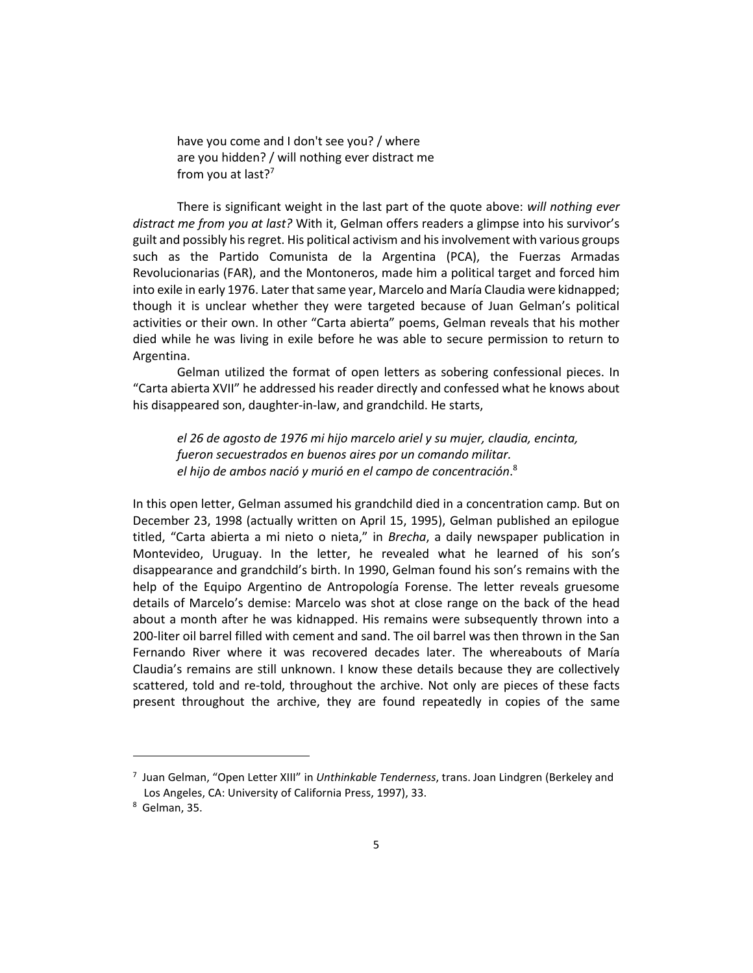have you come and I don't see you? / where are you hidden? / will nothing ever distract me from you at last? $7$ 

There is significant weight in the last part of the quote above: *will nothing ever distract me from you at last?* With it, Gelman offers readers a glimpse into his survivor's guilt and possibly his regret. His political activism and his involvement with various groups such as the Partido Comunista de la Argentina (PCA), the Fuerzas Armadas Revolucionarias (FAR), and the Montoneros, made him a political target and forced him into exile in early 1976. Later that same year, Marcelo and María Claudia were kidnapped; though it is unclear whether they were targeted because of Juan Gelman's political activities or their own. In other "Carta abierta" poems, Gelman reveals that his mother died while he was living in exile before he was able to secure permission to return to Argentina.

Gelman utilized the format of open letters as sobering confessional pieces. In "Carta abierta XVII" he addressed his reader directly and confessed what he knows about his disappeared son, daughter-in-law, and grandchild. He starts,

*el 26 de agosto de 1976 mi hijo marcelo ariel y su mujer, claudia, encinta, fueron secuestrados en buenos aires por un comando militar. el hijo de ambos nació y murió en el campo de concentración*. 8

In this open letter, Gelman assumed his grandchild died in a concentration camp. But on December 23, 1998 (actually written on April 15, 1995), Gelman published an epilogue titled, "Carta abierta a mi nieto o nieta," in *Brecha*, a daily newspaper publication in Montevideo, Uruguay. In the letter, he revealed what he learned of his son's disappearance and grandchild's birth. In 1990, Gelman found his son's remains with the help of the Equipo Argentino de Antropología Forense. The letter reveals gruesome details of Marcelo's demise: Marcelo was shot at close range on the back of the head about a month after he was kidnapped. His remains were subsequently thrown into a 200-liter oil barrel filled with cement and sand. The oil barrel was then thrown in the San Fernando River where it was recovered decades later. The whereabouts of María Claudia's remains are still unknown. I know these details because they are collectively scattered, told and re-told, throughout the archive. Not only are pieces of these facts present throughout the archive, they are found repeatedly in copies of the same

<sup>7</sup> Juan Gelman, "Open Letter XIII" in *Unthinkable Tenderness*, trans. Joan Lindgren (Berkeley and Los Angeles, CA: University of California Press, 1997), 33.

<sup>8</sup> Gelman, 35.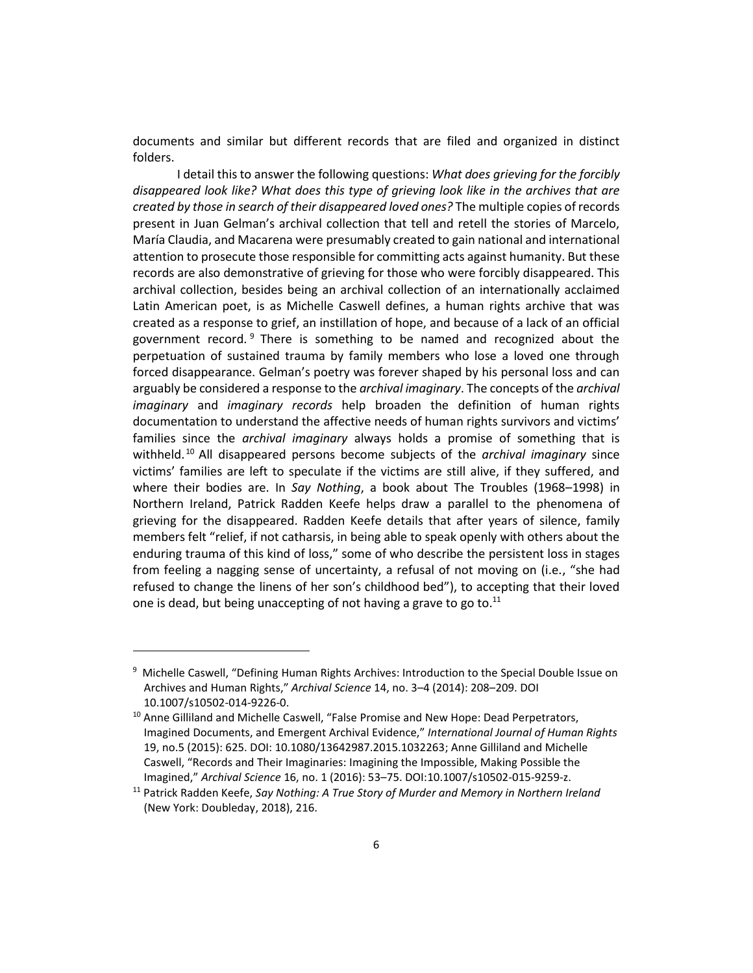documents and similar but different records that are filed and organized in distinct folders.

I detail this to answer the following questions: *What does grieving for the forcibly disappeared look like? What does this type of grieving look like in the archives that are created by those in search of their disappeared loved ones?* The multiple copies of records present in Juan Gelman's archival collection that tell and retell the stories of Marcelo, María Claudia, and Macarena were presumably created to gain national and international attention to prosecute those responsible for committing acts against humanity. But these records are also demonstrative of grieving for those who were forcibly disappeared. This archival collection, besides being an archival collection of an internationally acclaimed Latin American poet, is as Michelle Caswell defines, a human rights archive that was created as a response to grief, an instillation of hope, and because of a lack of an official government record. <sup>9</sup> There is something to be named and recognized about the perpetuation of sustained trauma by family members who lose a loved one through forced disappearance. Gelman's poetry was forever shaped by his personal loss and can arguably be considered a response to the *archival imaginary*. The concepts of the *archival imaginary* and *imaginary records* help broaden the definition of human rights documentation to understand the affective needs of human rights survivors and victims' families since the *archival imaginary* always holds a promise of something that is withheld. <sup>10</sup> All disappeared persons become subjects of the *archival imaginary* since victims' families are left to speculate if the victims are still alive, if they suffered, and where their bodies are. In *Say Nothing*, a book about The Troubles (1968–1998) in Northern Ireland, Patrick Radden Keefe helps draw a parallel to the phenomena of grieving for the disappeared. Radden Keefe details that after years of silence, family members felt "relief, if not catharsis, in being able to speak openly with others about the enduring trauma of this kind of loss," some of who describe the persistent loss in stages from feeling a nagging sense of uncertainty, a refusal of not moving on (i.e., "she had refused to change the linens of her son's childhood bed"), to accepting that their loved one is dead, but being unaccepting of not having a grave to go to. $11$ 

<sup>&</sup>lt;sup>9</sup> Michelle Caswell, "Defining Human Rights Archives: Introduction to the Special Double Issue on Archives and Human Rights," *Archival Science* 14, no. 3–4 (2014): 208–209. DOI 10.1007/s10502-014-9226-0.

<sup>&</sup>lt;sup>10</sup> Anne Gilliland and Michelle Caswell, "False Promise and New Hope: Dead Perpetrators, Imagined Documents, and Emergent Archival Evidence," *International Journal of Human Rights* 19, no.5 (2015): 625. DOI: 10.1080/13642987.2015.1032263; Anne Gilliland and Michelle Caswell, "Records and Their Imaginaries: Imagining the Impossible, Making Possible the Imagined," *Archival Science* 16, no. 1 (2016): 53–75. DOI[:10.1007/s10502-015-9259-z.](https://doi.org/10.1007/s10502-015-9259-z)

<sup>11</sup> Patrick Radden Keefe, *Say Nothing: A True Story of Murder and Memory in Northern Ireland* (New York: Doubleday, 2018), 216.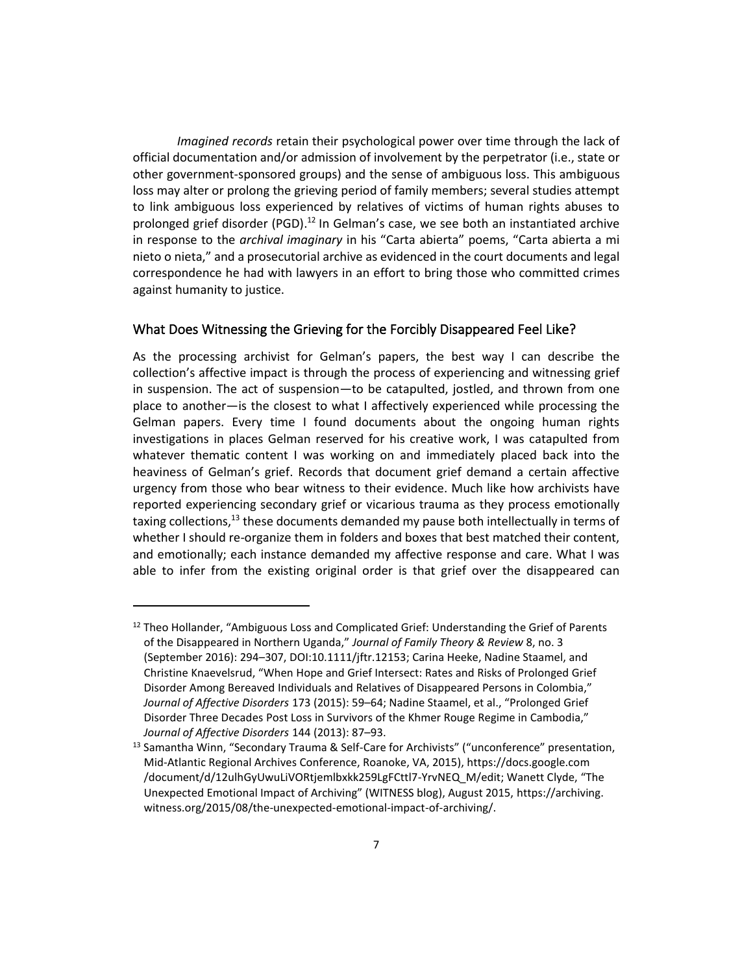*Imagined records* retain their psychological power over time through the lack of official documentation and/or admission of involvement by the perpetrator (i.e., state or other government-sponsored groups) and the sense of ambiguous loss. This ambiguous loss may alter or prolong the grieving period of family members; several studies attempt to link ambiguous loss experienced by relatives of victims of human rights abuses to prolonged grief disorder (PGD).<sup>12</sup> In Gelman's case, we see both an instantiated archive in response to the *archival imaginary* in his "Carta abierta" poems, "Carta abierta a mi nieto o nieta," and a prosecutorial archive as evidenced in the court documents and legal correspondence he had with lawyers in an effort to bring those who committed crimes against humanity to justice.

#### What Does Witnessing the Grieving for the Forcibly Disappeared Feel Like?

As the processing archivist for Gelman's papers, the best way I can describe the collection's affective impact is through the process of experiencing and witnessing grief in suspension. The act of suspension—to be catapulted, jostled, and thrown from one place to another—is the closest to what I affectively experienced while processing the Gelman papers. Every time I found documents about the ongoing human rights investigations in places Gelman reserved for his creative work, I was catapulted from whatever thematic content I was working on and immediately placed back into the heaviness of Gelman's grief. Records that document grief demand a certain affective urgency from those who bear witness to their evidence. Much like how archivists have reported experiencing secondary grief or vicarious trauma as they process emotionally taxing collections, $13$  these documents demanded my pause both intellectually in terms of whether I should re-organize them in folders and boxes that best matched their content, and emotionally; each instance demanded my affective response and care. What I was able to infer from the existing original order is that grief over the disappeared can

 $12$  Theo Hollander, "Ambiguous Loss and Complicated Grief: Understanding the Grief of Parents of the Disappeared in Northern Uganda," *Journal of Family Theory & Review* 8, no. 3 (September 2016): 294–307, DOI:10.1111/jftr.12153; Carina Heeke, Nadine Staamel, and Christine Knaevelsrud, "When Hope and Grief Intersect: Rates and Risks of Prolonged Grief Disorder Among Bereaved Individuals and Relatives of Disappeared Persons in Colombia," *Journal of Affective Disorders* 173 (2015): 59–64; Nadine Staamel, et al., "Prolonged Grief Disorder Three Decades Post Loss in Survivors of the Khmer Rouge Regime in Cambodia," *Journal of Affective Disorders* 144 (2013): 87–93.

<sup>&</sup>lt;sup>13</sup> Samantha Winn, "Secondary Trauma & Self-Care for Archivists" ("unconference" presentation, Mid-Atlantic Regional Archives Conference, Roanoke, VA, 2015), https://docs.google.com /document/d/12ulhGyUwuLiVORtjemlbxkk259LgFCttl7-YrvNEQ\_M/edit; Wanett Clyde, "The Unexpected Emotional Impact of Archiving" (WITNESS blog), August 2015, https://archiving. witness.org/2015/08/the-unexpected-emotional-impact-of-archiving/.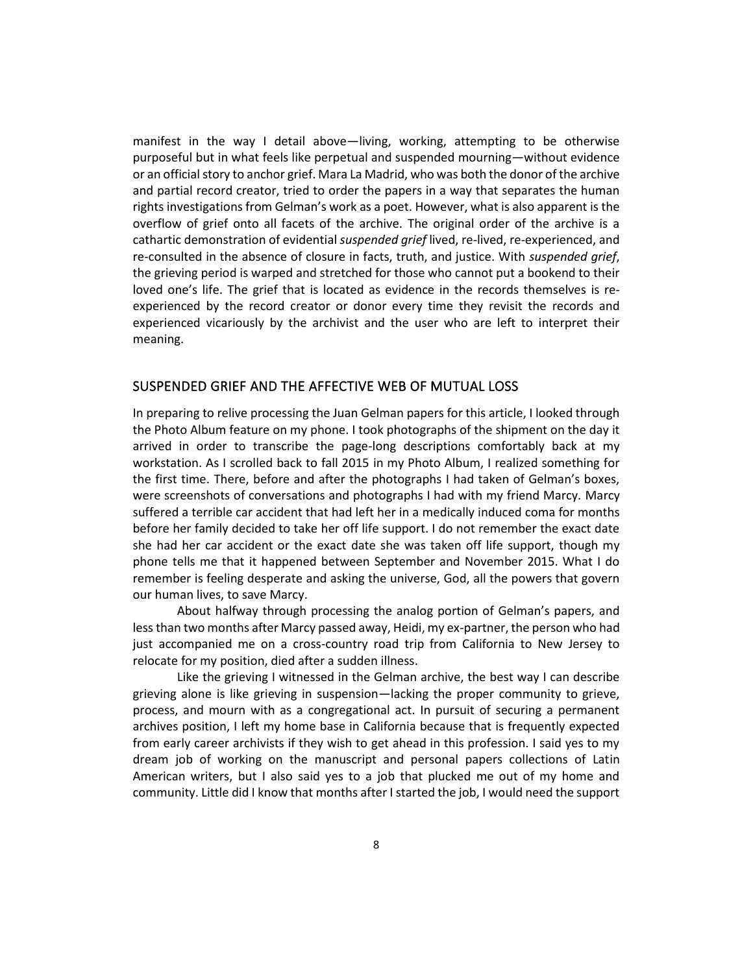manifest in the way I detail above—living, working, attempting to be otherwise purposeful but in what feels like perpetual and suspended mourning—without evidence or an official story to anchor grief. Mara La Madrid, who was both the donor of the archive and partial record creator, tried to order the papers in a way that separates the human rights investigations from Gelman's work as a poet. However, what is also apparent is the overflow of grief onto all facets of the archive. The original order of the archive is a cathartic demonstration of evidential *suspended grief* lived, re-lived, re-experienced, and re-consulted in the absence of closure in facts, truth, and justice. With *suspended grief*, the grieving period is warped and stretched for those who cannot put a bookend to their loved one's life. The grief that is located as evidence in the records themselves is reexperienced by the record creator or donor every time they revisit the records and experienced vicariously by the archivist and the user who are left to interpret their meaning.

#### SUSPENDED GRIEF AND THE AFFECTIVE WEB OF MUTUAL LOSS

In preparing to relive processing the Juan Gelman papers for this article, I looked through the Photo Album feature on my phone. I took photographs of the shipment on the day it arrived in order to transcribe the page-long descriptions comfortably back at my workstation. As I scrolled back to fall 2015 in my Photo Album, I realized something for the first time. There, before and after the photographs I had taken of Gelman's boxes, were screenshots of conversations and photographs I had with my friend Marcy. Marcy suffered a terrible car accident that had left her in a medically induced coma for months before her family decided to take her off life support. I do not remember the exact date she had her car accident or the exact date she was taken off life support, though my phone tells me that it happened between September and November 2015. What I do remember is feeling desperate and asking the universe, God, all the powers that govern our human lives, to save Marcy.

About halfway through processing the analog portion of Gelman's papers, and less than two months after Marcy passed away, Heidi, my ex-partner, the person who had just accompanied me on a cross-country road trip from California to New Jersey to relocate for my position, died after a sudden illness.

Like the grieving I witnessed in the Gelman archive, the best way I can describe grieving alone is like grieving in suspension—lacking the proper community to grieve, process, and mourn with as a congregational act. In pursuit of securing a permanent archives position, I left my home base in California because that is frequently expected from early career archivists if they wish to get ahead in this profession. I said yes to my dream job of working on the manuscript and personal papers collections of Latin American writers, but I also said yes to a job that plucked me out of my home and community. Little did I know that months after I started the job, I would need the support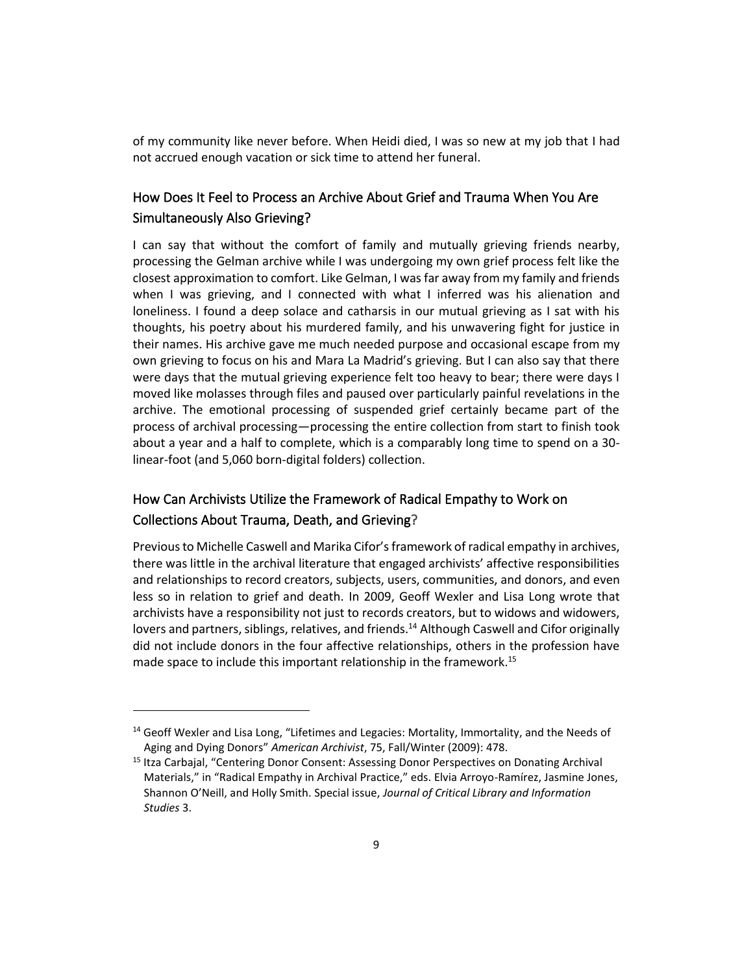of my community like never before. When Heidi died, I was so new at my job that I had not accrued enough vacation or sick time to attend her funeral.

## How Does It Feel to Process an Archive About Grief and Trauma When You Are Simultaneously Also Grieving?

I can say that without the comfort of family and mutually grieving friends nearby, processing the Gelman archive while I was undergoing my own grief process felt like the closest approximation to comfort. Like Gelman, I was far away from my family and friends when I was grieving, and I connected with what I inferred was his alienation and loneliness. I found a deep solace and catharsis in our mutual grieving as I sat with his thoughts, his poetry about his murdered family, and his unwavering fight for justice in their names. His archive gave me much needed purpose and occasional escape from my own grieving to focus on his and Mara La Madrid's grieving. But I can also say that there were days that the mutual grieving experience felt too heavy to bear; there were days I moved like molasses through files and paused over particularly painful revelations in the archive. The emotional processing of suspended grief certainly became part of the process of archival processing—processing the entire collection from start to finish took about a year and a half to complete, which is a comparably long time to spend on a 30 linear-foot (and 5,060 born-digital folders) collection.

# How Can Archivists Utilize the Framework of Radical Empathy to Work on Collections About Trauma, Death, and Grieving?

Previous to Michelle Caswell and Marika Cifor's framework of radical empathy in archives, there was little in the archival literature that engaged archivists' affective responsibilities and relationships to record creators, subjects, users, communities, and donors, and even less so in relation to grief and death. In 2009, Geoff Wexler and Lisa Long wrote that archivists have a responsibility not just to records creators, but to widows and widowers, lovers and partners, siblings, relatives, and friends.<sup>14</sup> Although Caswell and Cifor originally did not include donors in the four affective relationships, others in the profession have made space to include this important relationship in the framework.<sup>15</sup>

<sup>&</sup>lt;sup>14</sup> Geoff Wexler and Lisa Long, "Lifetimes and Legacies: Mortality, Immortality, and the Needs of Aging and Dying Donors" *American Archivist*, 75, Fall/Winter (2009): 478.

<sup>&</sup>lt;sup>15</sup> Itza Carbajal, "Centering Donor Consent: Assessing Donor Perspectives on Donating Archival Materials," in "Radical Empathy in Archival Practice," eds. Elvia Arroyo-Ramírez, Jasmine Jones, Shannon O'Neill, and Holly Smith. Special issue, *Journal of Critical Library and Information Studies* 3.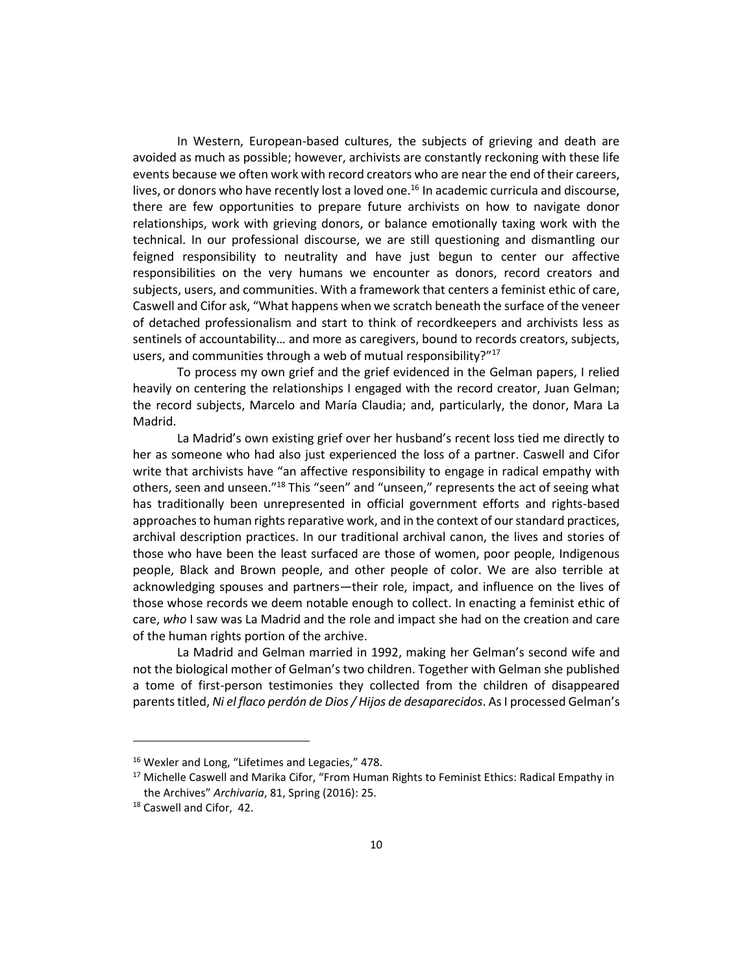In Western, European-based cultures, the subjects of grieving and death are avoided as much as possible; however, archivists are constantly reckoning with these life events because we often work with record creators who are near the end of their careers, lives, or donors who have recently lost a loved one.<sup>16</sup> In academic curricula and discourse, there are few opportunities to prepare future archivists on how to navigate donor relationships, work with grieving donors, or balance emotionally taxing work with the technical. In our professional discourse, we are still questioning and dismantling our feigned responsibility to neutrality and have just begun to center our affective responsibilities on the very humans we encounter as donors, record creators and subjects, users, and communities. With a framework that centers a feminist ethic of care, Caswell and Cifor ask, "What happens when we scratch beneath the surface of the veneer of detached professionalism and start to think of recordkeepers and archivists less as sentinels of accountability… and more as caregivers, bound to records creators, subjects, users, and communities through a web of mutual responsibility?"<sup>17</sup>

To process my own grief and the grief evidenced in the Gelman papers, I relied heavily on centering the relationships I engaged with the record creator, Juan Gelman; the record subjects, Marcelo and María Claudia; and, particularly, the donor, Mara La Madrid.

La Madrid's own existing grief over her husband's recent loss tied me directly to her as someone who had also just experienced the loss of a partner. Caswell and Cifor write that archivists have "an affective responsibility to engage in radical empathy with others, seen and unseen."<sup>18</sup> This "seen" and "unseen," represents the act of seeing what has traditionally been unrepresented in official government efforts and rights-based approaches to human rights reparative work, and in the context of our standard practices, archival description practices. In our traditional archival canon, the lives and stories of those who have been the least surfaced are those of women, poor people, Indigenous people, Black and Brown people, and other people of color. We are also terrible at acknowledging spouses and partners—their role, impact, and influence on the lives of those whose records we deem notable enough to collect. In enacting a feminist ethic of care, *who* I saw was La Madrid and the role and impact she had on the creation and care of the human rights portion of the archive.

La Madrid and Gelman married in 1992, making her Gelman's second wife and not the biological mother of Gelman's two children. Together with Gelman she published a tome of first-person testimonies they collected from the children of disappeared parents titled, *Ni el flaco perdón de Dios / Hijos de desaparecidos*. As I processed Gelman's

<sup>&</sup>lt;sup>16</sup> Wexler and Long, "Lifetimes and Legacies," 478.

<sup>&</sup>lt;sup>17</sup> Michelle Caswell and Marika Cifor, "From Human Rights to Feminist Ethics: Radical Empathy in the Archives" *Archivaria*, 81, Spring (2016): 25.

<sup>18</sup> Caswell and Cifor, 42.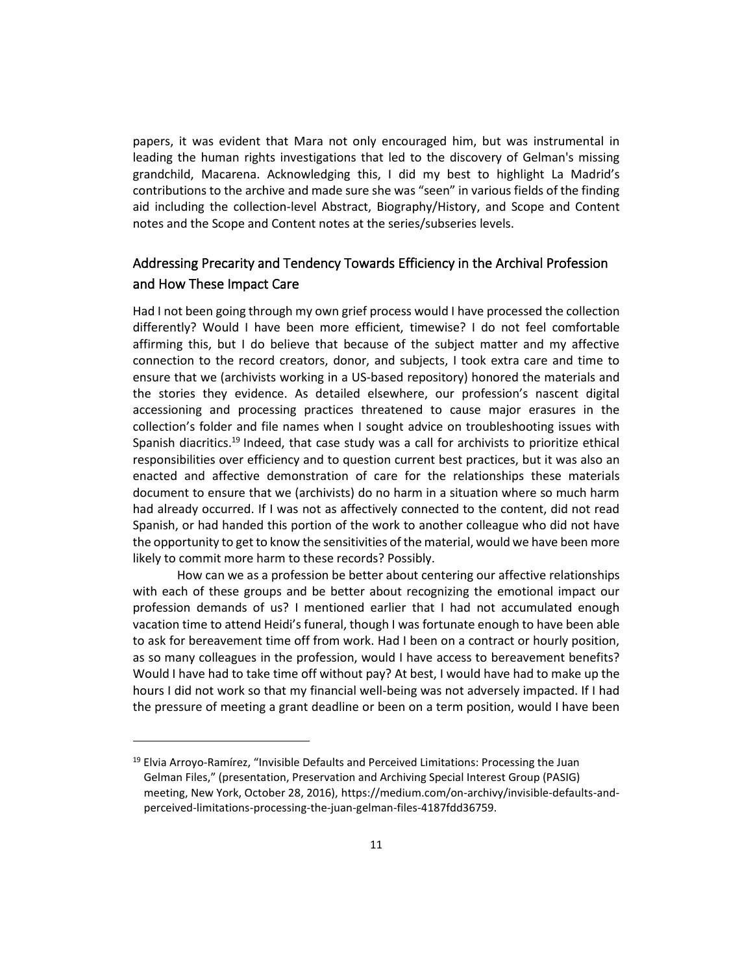papers, it was evident that Mara not only encouraged him, but was instrumental in leading the human rights investigations that led to the discovery of Gelman's missing grandchild, Macarena. Acknowledging this, I did my best to highlight La Madrid's contributions to the archive and made sure she was "seen" in various fields of the finding aid including the collection-level Abstract, Biography/History, and Scope and Content notes and the Scope and Content notes at the series/subseries levels.

## Addressing Precarity and Tendency Towards Efficiency in the Archival Profession and How These Impact Care

Had I not been going through my own grief process would I have processed the collection differently? Would I have been more efficient, timewise? I do not feel comfortable affirming this, but I do believe that because of the subject matter and my affective connection to the record creators, donor, and subjects, I took extra care and time to ensure that we (archivists working in a US-based repository) honored the materials and the stories they evidence. As detailed elsewhere, our profession's nascent digital accessioning and processing practices threatened to cause major erasures in the collection's folder and file names when I sought advice on troubleshooting issues with Spanish diacritics.<sup>19</sup> Indeed, that case study was a call for archivists to prioritize ethical responsibilities over efficiency and to question current best practices, but it was also an enacted and affective demonstration of care for the relationships these materials document to ensure that we (archivists) do no harm in a situation where so much harm had already occurred. If I was not as affectively connected to the content, did not read Spanish, or had handed this portion of the work to another colleague who did not have the opportunity to get to know the sensitivities of the material, would we have been more likely to commit more harm to these records? Possibly.

How can we as a profession be better about centering our affective relationships with each of these groups and be better about recognizing the emotional impact our profession demands of us? I mentioned earlier that I had not accumulated enough vacation time to attend Heidi's funeral, though I was fortunate enough to have been able to ask for bereavement time off from work. Had I been on a contract or hourly position, as so many colleagues in the profession, would I have access to bereavement benefits? Would I have had to take time off without pay? At best, I would have had to make up the hours I did not work so that my financial well-being was not adversely impacted. If I had the pressure of meeting a grant deadline or been on a term position, would I have been

<sup>&</sup>lt;sup>19</sup> Elvia Arroyo-Ramírez, "Invisible Defaults and Perceived Limitations: Processing the Juan Gelman Files," (presentation, Preservation and Archiving Special Interest Group (PASIG) meeting, New York, October 28, 2016), https://medium.com/on-archivy/invisible-defaults-andperceived-limitations-processing-the-juan-gelman-files-4187fdd36759.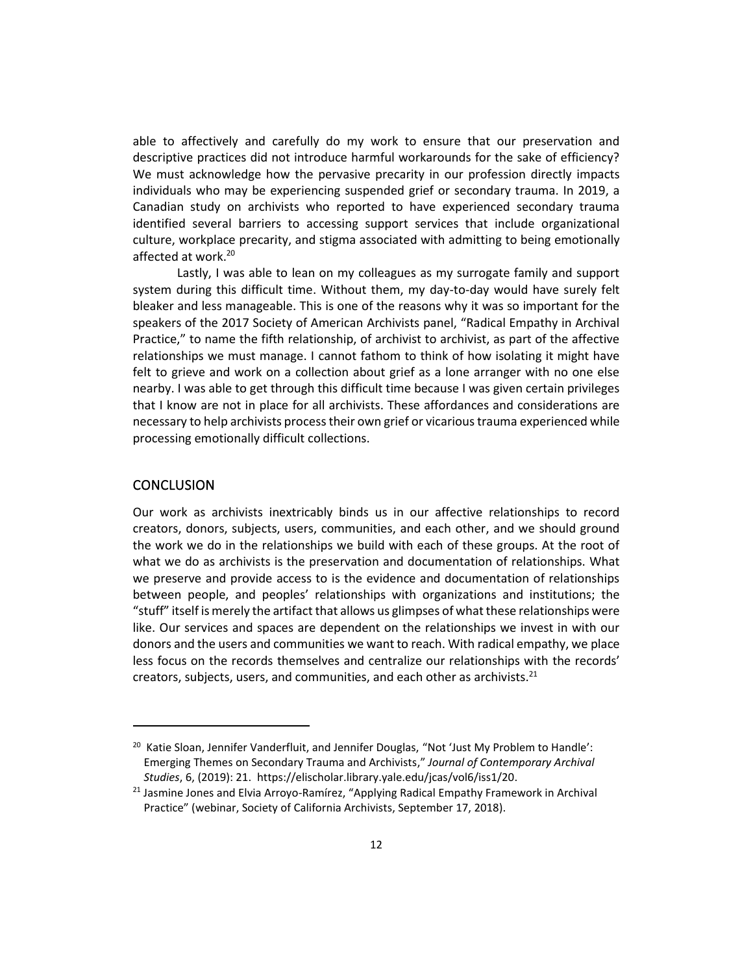able to affectively and carefully do my work to ensure that our preservation and descriptive practices did not introduce harmful workarounds for the sake of efficiency? We must acknowledge how the pervasive precarity in our profession directly impacts individuals who may be experiencing suspended grief or secondary trauma. In 2019, a Canadian study on archivists who reported to have experienced secondary trauma identified several barriers to accessing support services that include organizational culture, workplace precarity, and stigma associated with admitting to being emotionally affected at work.<sup>20</sup>

Lastly, I was able to lean on my colleagues as my surrogate family and support system during this difficult time. Without them, my day-to-day would have surely felt bleaker and less manageable. This is one of the reasons why it was so important for the speakers of the 2017 Society of American Archivists panel, "Radical Empathy in Archival Practice," to name the fifth relationship, of archivist to archivist, as part of the affective relationships we must manage. I cannot fathom to think of how isolating it might have felt to grieve and work on a collection about grief as a lone arranger with no one else nearby. I was able to get through this difficult time because I was given certain privileges that I know are not in place for all archivists. These affordances and considerations are necessary to help archivists process their own grief or vicarious trauma experienced while processing emotionally difficult collections.

#### **CONCLUSION**

Our work as archivists inextricably binds us in our affective relationships to record creators, donors, subjects, users, communities, and each other, and we should ground the work we do in the relationships we build with each of these groups. At the root of what we do as archivists is the preservation and documentation of relationships. What we preserve and provide access to is the evidence and documentation of relationships between people, and peoples' relationships with organizations and institutions; the "stuff" itself is merely the artifact that allows us glimpses of what these relationships were like. Our services and spaces are dependent on the relationships we invest in with our donors and the users and communities we want to reach. With radical empathy, we place less focus on the records themselves and centralize our relationships with the records' creators, subjects, users, and communities, and each other as archivists. $^{21}$ 

<sup>&</sup>lt;sup>20</sup> Katie Sloan, Jennifer Vanderfluit, and Jennifer Douglas, "Not 'Just My Problem to Handle': Emerging Themes on Secondary Trauma and Archivists," *Journal of Contemporary Archival Studies*, 6, (2019): 21. https://elischolar.library.yale.edu/jcas/vol6/iss1/20.

<sup>&</sup>lt;sup>21</sup> Jasmine Jones and Elvia Arroyo-Ramírez, "Applying Radical Empathy Framework in Archival Practice" (webinar, Society of California Archivists, September 17, 2018).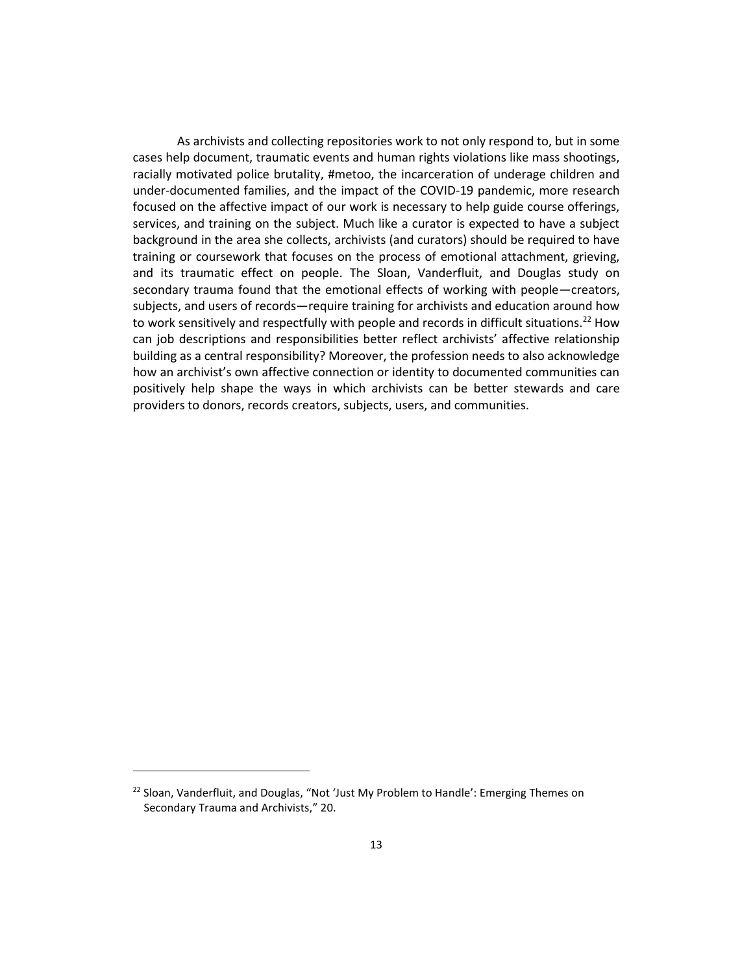As archivists and collecting repositories work to not only respond to, but in some cases help document, traumatic events and human rights violations like mass shootings, racially motivated police brutality, #metoo, the incarceration of underage children and under-documented families, and the impact of the COVID-19 pandemic, more research focused on the affective impact of our work is necessary to help guide course offerings, services, and training on the subject. Much like a curator is expected to have a subject background in the area she collects, archivists (and curators) should be required to have training or coursework that focuses on the process of emotional attachment, grieving, and its traumatic effect on people. The Sloan, Vanderfluit, and Douglas study on secondary trauma found that the emotional effects of working with people—creators, subjects, and users of records—require training for archivists and education around how to work sensitively and respectfully with people and records in difficult situations.<sup>22</sup> How can job descriptions and responsibilities better reflect archivists' affective relationship building as a central responsibility? Moreover, the profession needs to also acknowledge how an archivist's own affective connection or identity to documented communities can positively help shape the ways in which archivists can be better stewards and care providers to donors, records creators, subjects, users, and communities.

<sup>&</sup>lt;sup>22</sup> Sloan, Vanderfluit, and Douglas, "Not 'Just My Problem to Handle': Emerging Themes on Secondary Trauma and Archivists," 20.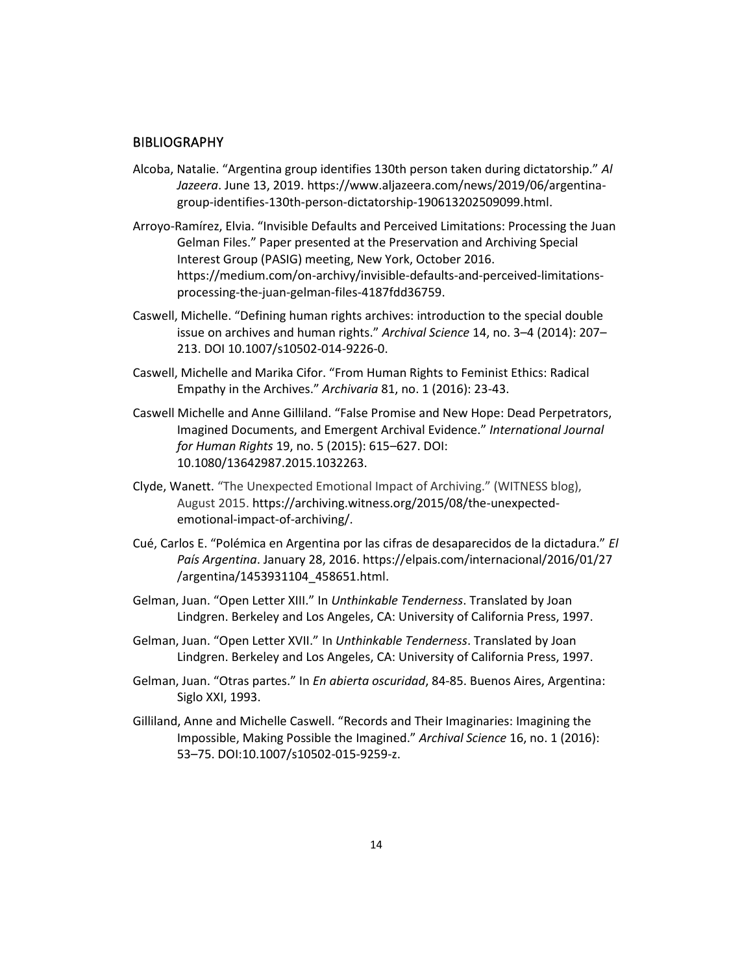#### **BIBLIOGRAPHY**

- Alcoba, Natalie. "Argentina group identifies 130th person taken during dictatorship." *Al Jazeera*. June 13, 2019. https://www.aljazeera.com/news/2019/06/argentinagroup-identifies-130th-person-dictatorship-190613202509099.html.
- Arroyo-Ramírez, Elvia. "Invisible Defaults and Perceived Limitations: Processing the Juan Gelman Files." Paper presented at the Preservation and Archiving Special Interest Group (PASIG) meeting, New York, October 2016. https://medium.com/on-archivy/invisible-defaults-and-perceived-limitationsprocessing-the-juan-gelman-files-4187fdd36759.
- Caswell, Michelle. "Defining human rights archives: introduction to the special double issue on archives and human rights." *Archival Science* 14, no. 3–4 (2014): 207– 213. DOI 10.1007/s10502-014-9226-0.
- Caswell, Michelle and Marika Cifor. "From Human Rights to Feminist Ethics: Radical Empathy in the Archives." *Archivaria* 81, no. 1 (2016): 23-43.
- Caswell Michelle and Anne Gilliland. "False Promise and New Hope: Dead Perpetrators, Imagined Documents, and Emergent Archival Evidence." *International Journal for Human Rights* 19, no. 5 (2015): 615–627. DOI: 10.1080/13642987.2015.1032263.
- Clyde, Wanett. "The Unexpected Emotional Impact of Archiving." (WITNESS blog), August 2015. [https://archiving.witness.org/2015/08/the-unexpected](https://archiving.witness.org/2015/08/the-unexpected-emotional-impact-of-archiving/)[emotional-impact-of-archiving/.](https://archiving.witness.org/2015/08/the-unexpected-emotional-impact-of-archiving/)
- Cué, Carlos E. "Polémica en Argentina por las cifras de desaparecidos de la dictadura." *El País Argentina*. January 28, 2016. https://elpais.com/internacional/2016/01/27 /argentina/1453931104\_458651.html.
- Gelman, Juan. "Open Letter XIII." In *Unthinkable Tenderness*. Translated by Joan Lindgren. Berkeley and Los Angeles, CA: University of California Press, 1997.
- Gelman, Juan. "Open Letter XVII." In *Unthinkable Tenderness*. Translated by Joan Lindgren. Berkeley and Los Angeles, CA: University of California Press, 1997.
- Gelman, Juan. "Otras partes." In *En abierta oscuridad*, 84-85. Buenos Aires, Argentina: Siglo XXI, 1993.
- Gilliland, Anne and Michelle Caswell. "Records and Their Imaginaries: Imagining the Impossible, Making Possible the Imagined." *Archival Science* 16, no. 1 (2016): 53–75. DOI[:10.1007/s10502-015-9259-z.](https://doi.org/10.1007/s10502-015-9259-z)